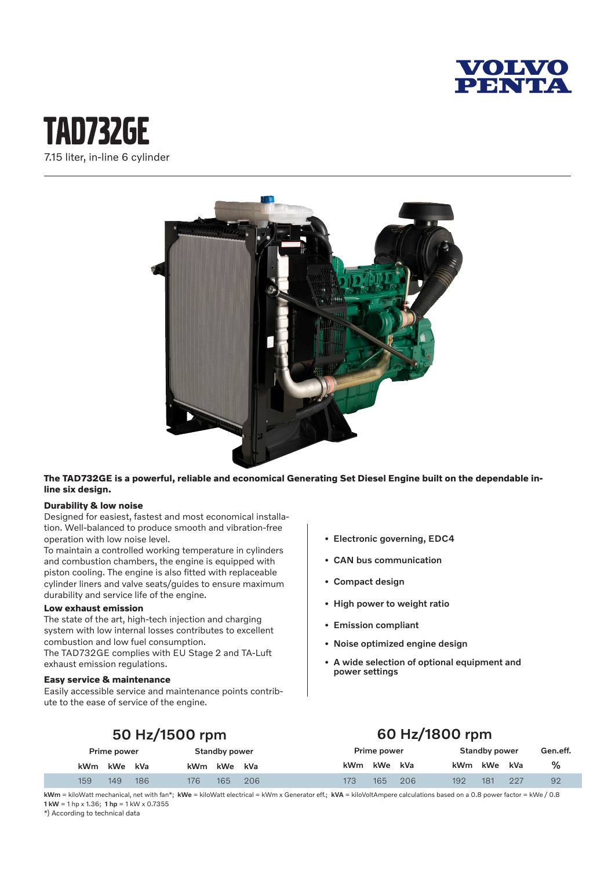

## tAd732GE 7.15 liter, in-line 6 cylinder



**The TAD732GE is a powerful, reliable and economical Generating Set Diesel Engine built on the dependable inline six design.**

#### **Durability & low noise**

Designed for easiest, fastest and most economical installation. Well-balanced to produce smooth and vibration-free operation with low noise level.

To maintain a controlled working temperature in cylinders and combustion chambers, the engine is equipped with piston cooling. The engine is also fitted with replaceable cylinder liners and valve seats/guides to ensure maximum durability and service life of the engine.

#### **Low exhaust emission**

The state of the art, high-tech injection and charging system with low internal losses contributes to excellent combustion and low fuel consumption. The TAD732GE complies with EU Stage 2 and TA-Luft exhaust emission regulations.

#### **Easy service & maintenance**

Easily accessible service and maintenance points contribute to the ease of service of the engine.

- Electronic governing, EDC4
- CAN bus communication
- Compact design
- High power to weight ratio
- Emission compliant
- Noise optimized engine design
- A wide selection of optional equipment and power settings

## 50 Hz/1500 rpm

## 60 Hz/1800 rpm

| Prime power |     | <b>Standby power</b> |     |             | Prime power |            | <b>Standby power</b> |     |         | Gen.eff. |     |    |
|-------------|-----|----------------------|-----|-------------|-------------|------------|----------------------|-----|---------|----------|-----|----|
| kWm kWe kVa |     |                      |     | kWm kWe kVa |             | <b>kWm</b> | kWe                  | kVa | kWm kWe |          | kVa | ℅  |
| 159         | 149 | 186                  | 176 | 165         | 206         | 173        | 165.                 | 206 | 192     | 181      | 227 | 92 |

kWm = kiloWatt mechanical, net with fan\*; kWe = kiloWatt electrical = kWm x Generator eff.; kVA = kiloVoltAmpere calculations based on a 0.8 power factor = kWe / 0.8 1 kW = 1 hp x 1.36; 1 hp = 1 kW x 0.7355

\*) According to technical data